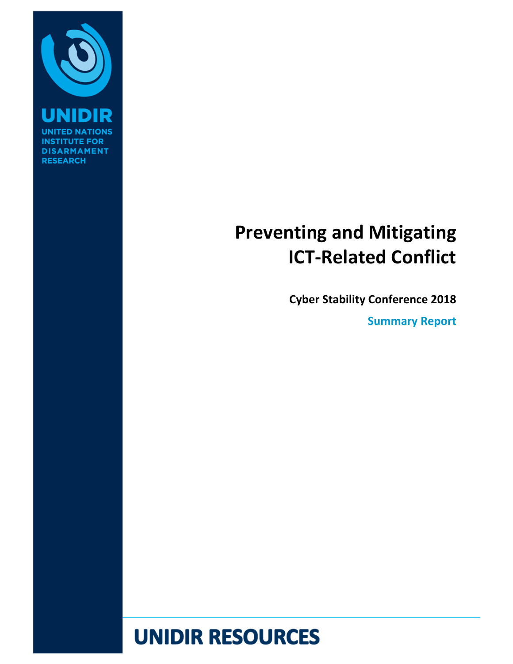

**INST DISARMAMENT RESEARCH** 

# **Preventing and Mitigating ICT‐Related Conflict**

**Cyber Stability Conference 2018** 

**Summary Report** 

# **UNIDIR RESOURCES**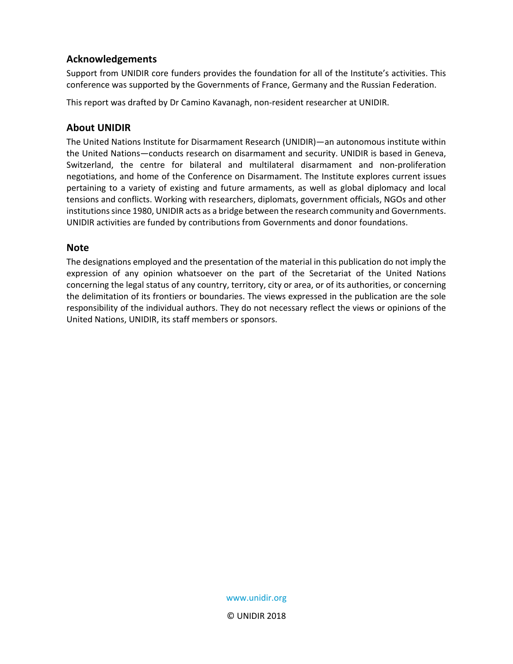#### **Acknowledgements**

Support from UNIDIR core funders provides the foundation for all of the Institute's activities. This conference was supported by the Governments of France, Germany and the Russian Federation.

This report was drafted by Dr Camino Kavanagh, non‐resident researcher at UNIDIR.

#### **About UNIDIR**

The United Nations Institute for Disarmament Research (UNIDIR)—an autonomous institute within the United Nations—conducts research on disarmament and security. UNIDIR is based in Geneva, Switzerland, the centre for bilateral and multilateral disarmament and non-proliferation negotiations, and home of the Conference on Disarmament. The Institute explores current issues pertaining to a variety of existing and future armaments, as well as global diplomacy and local tensions and conflicts. Working with researchers, diplomats, government officials, NGOs and other institutions since 1980, UNIDIR acts as a bridge between the research community and Governments. UNIDIR activities are funded by contributions from Governments and donor foundations.

#### **Note**

The designations employed and the presentation of the material in this publication do not imply the expression of any opinion whatsoever on the part of the Secretariat of the United Nations concerning the legal status of any country, territory, city or area, or of its authorities, or concerning the delimitation of its frontiers or boundaries. The views expressed in the publication are the sole responsibility of the individual authors. They do not necessary reflect the views or opinions of the United Nations, UNIDIR, its staff members or sponsors.

> www.unidir.org © UNIDIR 2018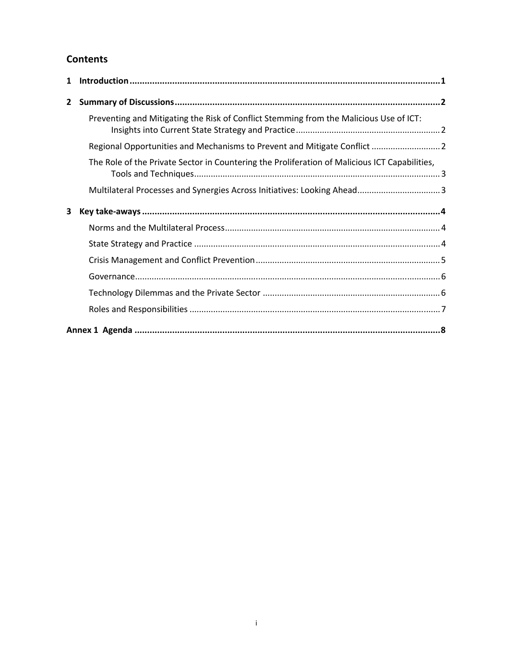#### **Contents**

| 1            |                                                                                               |  |
|--------------|-----------------------------------------------------------------------------------------------|--|
| $\mathbf{2}$ |                                                                                               |  |
|              | Preventing and Mitigating the Risk of Conflict Stemming from the Malicious Use of ICT:        |  |
|              | Regional Opportunities and Mechanisms to Prevent and Mitigate Conflict  2                     |  |
|              | The Role of the Private Sector in Countering the Proliferation of Malicious ICT Capabilities, |  |
|              |                                                                                               |  |
| 3            |                                                                                               |  |
|              |                                                                                               |  |
|              |                                                                                               |  |
|              |                                                                                               |  |
|              |                                                                                               |  |
|              |                                                                                               |  |
|              |                                                                                               |  |
|              |                                                                                               |  |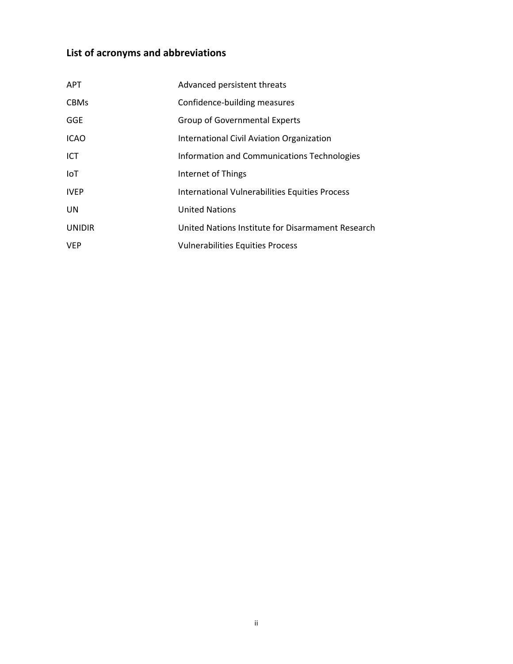### **List of acronyms and abbreviations**

| <b>APT</b>    | Advanced persistent threats                       |
|---------------|---------------------------------------------------|
| <b>CBMs</b>   | Confidence-building measures                      |
| <b>GGE</b>    | <b>Group of Governmental Experts</b>              |
| <b>ICAO</b>   | International Civil Aviation Organization         |
| ICT           | Information and Communications Technologies       |
| IoT           | Internet of Things                                |
| <b>IVEP</b>   | International Vulnerabilities Equities Process    |
| <b>UN</b>     | <b>United Nations</b>                             |
| <b>UNIDIR</b> | United Nations Institute for Disarmament Research |
| <b>VEP</b>    | <b>Vulnerabilities Equities Process</b>           |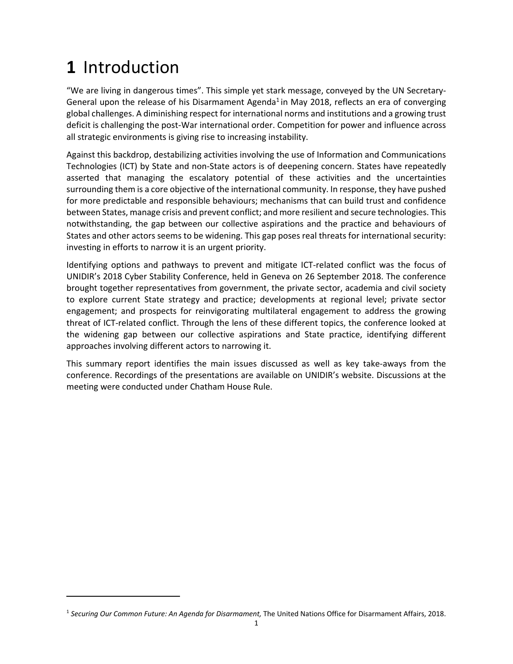## **1** Introduction

"We are living in dangerous times". This simple yet stark message, conveyed by the UN Secretary‐ General upon the release of his Disarmament Agenda<sup>1</sup> in May 2018, reflects an era of converging global challenges. A diminishing respect for international norms and institutions and a growing trust deficit is challenging the post‐War international order. Competition for power and influence across all strategic environments is giving rise to increasing instability.

Against this backdrop, destabilizing activities involving the use of Information and Communications Technologies (ICT) by State and non‐State actors is of deepening concern. States have repeatedly asserted that managing the escalatory potential of these activities and the uncertainties surrounding them is a core objective of the international community. In response, they have pushed for more predictable and responsible behaviours; mechanisms that can build trust and confidence between States, manage crisis and prevent conflict; and more resilient and secure technologies. This notwithstanding, the gap between our collective aspirations and the practice and behaviours of States and other actors seems to be widening. This gap poses real threats for international security: investing in efforts to narrow it is an urgent priority.

Identifying options and pathways to prevent and mitigate ICT‐related conflict was the focus of UNIDIR's 2018 Cyber Stability Conference, held in Geneva on 26 September 2018. The conference brought together representatives from government, the private sector, academia and civil society to explore current State strategy and practice; developments at regional level; private sector engagement; and prospects for reinvigorating multilateral engagement to address the growing threat of ICT‐related conflict. Through the lens of these different topics, the conference looked at the widening gap between our collective aspirations and State practice, identifying different approaches involving different actors to narrowing it.

This summary report identifies the main issues discussed as well as key take-aways from the conference. Recordings of the presentations are available on UNIDIR's website. Discussions at the meeting were conducted under Chatham House Rule.

<sup>1</sup> *Securing Our Common Future: An Agenda for Disarmament,* The United Nations Office for Disarmament Affairs, 2018.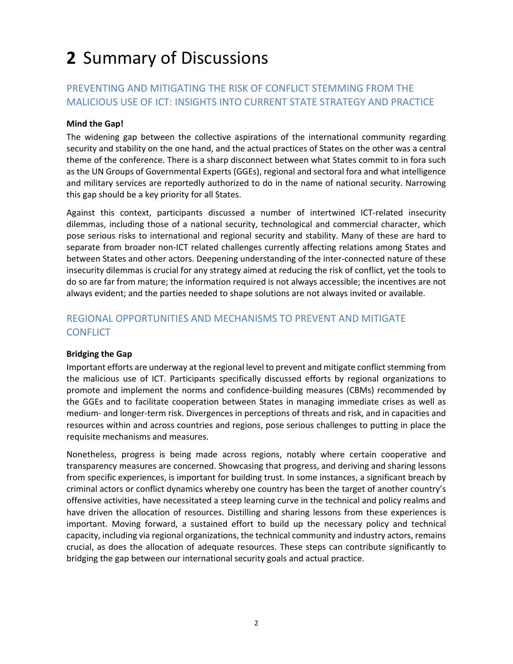# **2** Summary of Discussions

#### PREVENTING AND MITIGATING THE RISK OF CONFLICT STEMMING FROM THE MALICIOUS USE OF ICT: INSIGHTS INTO CURRENT STATE STRATEGY AND PRACTICE

#### **Mind the Gap!**

The widening gap between the collective aspirations of the international community regarding security and stability on the one hand, and the actual practices of States on the other was a central theme of the conference. There is a sharp disconnect between what States commit to in fora such as the UN Groups of Governmental Experts (GGEs), regional and sectoral fora and what intelligence and military services are reportedly authorized to do in the name of national security. Narrowing this gap should be a key priority for all States.

Against this context, participants discussed a number of intertwined ICT‐related insecurity dilemmas, including those of a national security, technological and commercial character, which pose serious risks to international and regional security and stability. Many of these are hard to separate from broader non-ICT related challenges currently affecting relations among States and between States and other actors. Deepening understanding of the inter-connected nature of these insecurity dilemmas is crucial for any strategy aimed at reducing the risk of conflict, yet the tools to do so are far from mature; the information required is not always accessible; the incentives are not always evident; and the parties needed to shape solutions are not always invited or available.

#### REGIONAL OPPORTUNITIES AND MECHANISMS TO PREVENT AND MITIGATE **CONFLICT**

#### **Bridging the Gap**

Important efforts are underway at the regional level to prevent and mitigate conflict stemming from the malicious use of ICT. Participants specifically discussed efforts by regional organizations to promote and implement the norms and confidence‐building measures (CBMs) recommended by the GGEs and to facilitate cooperation between States in managing immediate crises as well as medium‐ and longer‐term risk. Divergences in perceptions of threats and risk, and in capacities and resources within and across countries and regions, pose serious challenges to putting in place the requisite mechanisms and measures.

Nonetheless, progress is being made across regions, notably where certain cooperative and transparency measures are concerned. Showcasing that progress, and deriving and sharing lessons from specific experiences, is important for building trust. In some instances, a significant breach by criminal actors or conflict dynamics whereby one country has been the target of another country's offensive activities, have necessitated a steep learning curve in the technical and policy realms and have driven the allocation of resources. Distilling and sharing lessons from these experiences is important. Moving forward, a sustained effort to build up the necessary policy and technical capacity, including via regional organizations, the technical community and industry actors, remains crucial, as does the allocation of adequate resources. These steps can contribute significantly to bridging the gap between our international security goals and actual practice.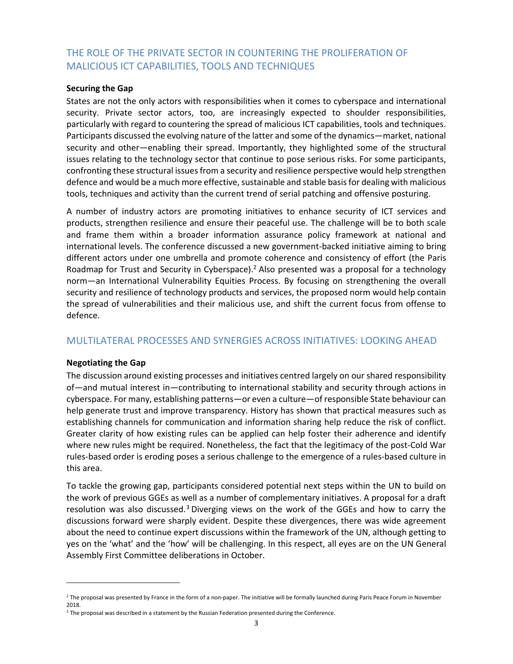#### THE ROLE OF THE PRIVATE SECTOR IN COUNTERING THE PROLIFERATION OF MALICIOUS ICT CAPABILITIES, TOOLS AND TECHNIQUES

#### **Securing the Gap**

States are not the only actors with responsibilities when it comes to cyberspace and international security. Private sector actors, too, are increasingly expected to shoulder responsibilities, particularly with regard to countering the spread of malicious ICT capabilities, tools and techniques. Participants discussed the evolving nature of the latter and some of the dynamics—market, national security and other—enabling their spread. Importantly, they highlighted some of the structural issues relating to the technology sector that continue to pose serious risks. For some participants, confronting these structural issues from a security and resilience perspective would help strengthen defence and would be a much more effective, sustainable and stable basis for dealing with malicious tools, techniques and activity than the current trend of serial patching and offensive posturing.

A number of industry actors are promoting initiatives to enhance security of ICT services and products, strengthen resilience and ensure their peaceful use. The challenge will be to both scale and frame them within a broader information assurance policy framework at national and international levels. The conference discussed a new government‐backed initiative aiming to bring different actors under one umbrella and promote coherence and consistency of effort (the Paris Roadmap for Trust and Security in Cyberspace).<sup>2</sup> Also presented was a proposal for a technology norm—an International Vulnerability Equities Process. By focusing on strengthening the overall security and resilience of technology products and services, the proposed norm would help contain the spread of vulnerabilities and their malicious use, and shift the current focus from offense to defence.

#### MULTILATERAL PROCESSES AND SYNERGIES ACROSS INITIATIVES: LOOKING AHEAD

#### **Negotiating the Gap**

The discussion around existing processes and initiatives centred largely on our shared responsibility of—and mutual interest in—contributing to international stability and security through actions in cyberspace. For many, establishing patterns—or even a culture—of responsible State behaviour can help generate trust and improve transparency. History has shown that practical measures such as establishing channels for communication and information sharing help reduce the risk of conflict. Greater clarity of how existing rules can be applied can help foster their adherence and identify where new rules might be required. Nonetheless, the fact that the legitimacy of the post-Cold War rules‐based order is eroding poses a serious challenge to the emergence of a rules‐based culture in this area.

To tackle the growing gap, participants considered potential next steps within the UN to build on the work of previous GGEs as well as a number of complementary initiatives. A proposal for a draft resolution was also discussed.<sup>3</sup> Diverging views on the work of the GGEs and how to carry the discussions forward were sharply evident. Despite these divergences, there was wide agreement about the need to continue expert discussions within the framework of the UN, although getting to yes on the 'what' and the 'how' will be challenging. In this respect, all eyes are on the UN General Assembly First Committee deliberations in October.

<sup>2</sup> The proposal was presented by France in the form of a non‐paper. The initiative will be formally launched during Paris Peace Forum in November 2018.

<sup>&</sup>lt;sup>3</sup> The proposal was described in a statement by the Russian Federation presented during the Conference.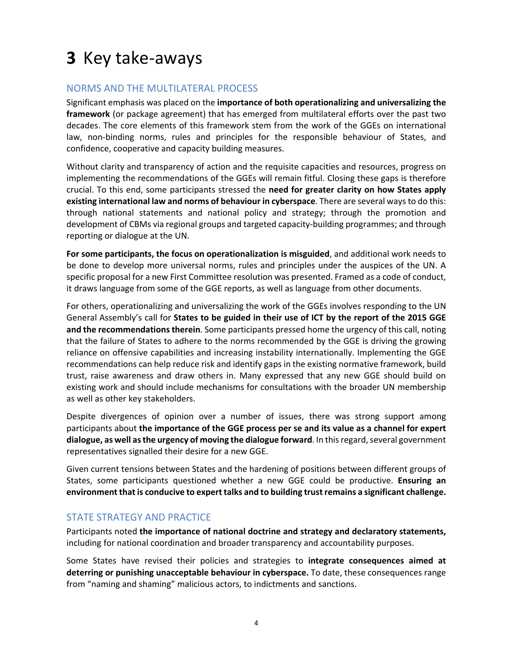# **3** Key take‐aways

#### NORMS AND THE MULTILATERAL PROCESS

Significant emphasis was placed on the **importance of both operationalizing and universalizing the framework** (or package agreement) that has emerged from multilateral efforts over the past two decades. The core elements of this framework stem from the work of the GGEs on international law, non-binding norms, rules and principles for the responsible behaviour of States, and confidence, cooperative and capacity building measures.

Without clarity and transparency of action and the requisite capacities and resources, progress on implementing the recommendations of the GGEs will remain fitful. Closing these gaps is therefore crucial. To this end, some participants stressed the **need for greater clarity on how States apply existing international law and norms of behaviour in cyberspace**. There are several ways to do this: through national statements and national policy and strategy; through the promotion and development of CBMs via regional groups and targeted capacity‐building programmes; and through reporting or dialogue at the UN.

**For some participants, the focus on operationalization is misguided**, and additional work needs to be done to develop more universal norms, rules and principles under the auspices of the UN. A specific proposal for a new First Committee resolution was presented. Framed as a code of conduct, it draws language from some of the GGE reports, as well as language from other documents.

For others, operationalizing and universalizing the work of the GGEs involves responding to the UN General Assembly's call for **States to be guided in their use of ICT by the report of the 2015 GGE and the recommendations therein**. Some participants pressed home the urgency of this call, noting that the failure of States to adhere to the norms recommended by the GGE is driving the growing reliance on offensive capabilities and increasing instability internationally. Implementing the GGE recommendations can help reduce risk and identify gaps in the existing normative framework, build trust, raise awareness and draw others in. Many expressed that any new GGE should build on existing work and should include mechanisms for consultations with the broader UN membership as well as other key stakeholders.

Despite divergences of opinion over a number of issues, there was strong support among participants about **the importance of the GGE process per se and its value as a channel for expert dialogue, as well as the urgency of moving the dialogue forward**. In this regard, several government representatives signalled their desire for a new GGE.

Given current tensions between States and the hardening of positions between different groups of States, some participants questioned whether a new GGE could be productive. **Ensuring an environment that is conducive to expert talks and to building trust remains a significant challenge.**

#### STATE STRATEGY AND PRACTICE

Participants noted **the importance of national doctrine and strategy and declaratory statements,** including for national coordination and broader transparency and accountability purposes.

Some States have revised their policies and strategies to **integrate consequences aimed at deterring or punishing unacceptable behaviour in cyberspace.** To date, these consequences range from "naming and shaming" malicious actors, to indictments and sanctions.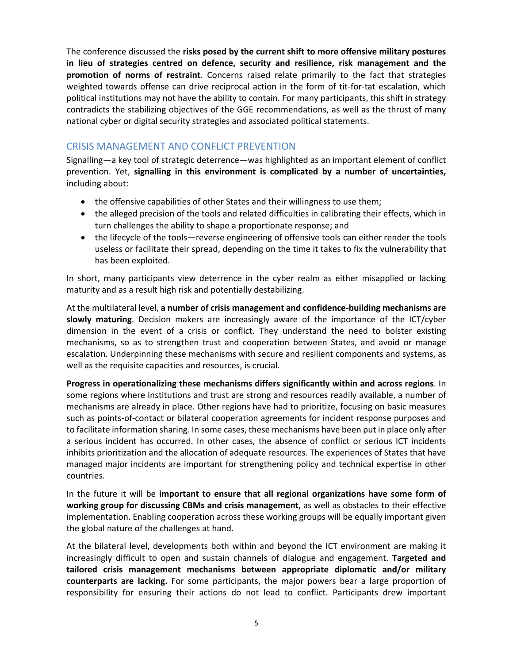The conference discussed the **risks posed by the current shift to more offensive military postures in lieu of strategies centred on defence, security and resilience, risk management and the promotion of norms of restraint**. Concerns raised relate primarily to the fact that strategies weighted towards offense can drive reciprocal action in the form of tit-for-tat escalation, which political institutions may not have the ability to contain. For many participants, this shift in strategy contradicts the stabilizing objectives of the GGE recommendations, as well as the thrust of many national cyber or digital security strategies and associated political statements.

#### CRISIS MANAGEMENT AND CONFLICT PREVENTION

Signalling—a key tool of strategic deterrence—was highlighted as an important element of conflict prevention. Yet, **signalling in this environment is complicated by a number of uncertainties,** including about:

- the offensive capabilities of other States and their willingness to use them;
- the alleged precision of the tools and related difficulties in calibrating their effects, which in turn challenges the ability to shape a proportionate response; and
- the lifecycle of the tools—reverse engineering of offensive tools can either render the tools useless or facilitate their spread, depending on the time it takes to fix the vulnerability that has been exploited.

In short, many participants view deterrence in the cyber realm as either misapplied or lacking maturity and as a result high risk and potentially destabilizing.

At the multilateral level, **a number of crisis management and confidence‐building mechanisms are slowly maturing**. Decision makers are increasingly aware of the importance of the ICT/cyber dimension in the event of a crisis or conflict. They understand the need to bolster existing mechanisms, so as to strengthen trust and cooperation between States, and avoid or manage escalation. Underpinning these mechanisms with secure and resilient components and systems, as well as the requisite capacities and resources, is crucial.

**Progress in operationalizing these mechanisms differs significantly within and across regions**. In some regions where institutions and trust are strong and resources readily available, a number of mechanisms are already in place. Other regions have had to prioritize, focusing on basic measures such as points‐of‐contact or bilateral cooperation agreements for incident response purposes and to facilitate information sharing. In some cases, these mechanisms have been put in place only after a serious incident has occurred. In other cases, the absence of conflict or serious ICT incidents inhibits prioritization and the allocation of adequate resources. The experiences of States that have managed major incidents are important for strengthening policy and technical expertise in other countries.

In the future it will be important to ensure that all regional organizations have some form of **working group for discussing CBMs and crisis management**, as well as obstacles to their effective implementation. Enabling cooperation across these working groups will be equally important given the global nature of the challenges at hand.

At the bilateral level, developments both within and beyond the ICT environment are making it increasingly difficult to open and sustain channels of dialogue and engagement. Targeted and **tailored crisis management mechanisms between appropriate diplomatic and/or military counterparts are lacking.** For some participants, the major powers bear a large proportion of responsibility for ensuring their actions do not lead to conflict. Participants drew important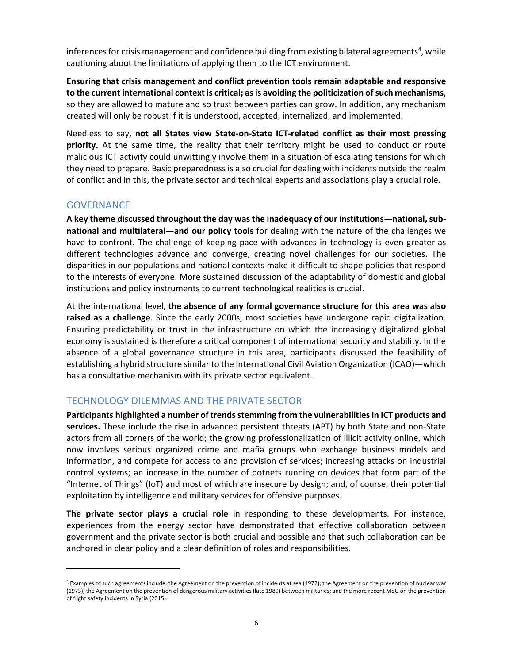inferences for crisis management and confidence building from existing bilateral agreements<sup>4</sup>, while cautioning about the limitations of applying them to the ICT environment.

**Ensuring that crisis management and conflict prevention tools remain adaptable and responsive to the current international context is critical; as is avoiding the politicization of such mechanisms**, so they are allowed to mature and so trust between parties can grow. In addition, any mechanism created will only be robust if it is understood, accepted, internalized, and implemented.

Needless to say, **not all States view State‐on‐State ICT‐related conflict as their most pressing priority.** At the same time, the reality that their territory might be used to conduct or route malicious ICT activity could unwittingly involve them in a situation of escalating tensions for which they need to prepare. Basic preparedness is also crucial for dealing with incidents outside the realm of conflict and in this, the private sector and technical experts and associations play a crucial role.

#### **GOVERNANCE**

**A key theme discussed throughout the day was the inadequacy of our institutions—national, sub‐ national and multilateral—and our policy tools** for dealing with the nature of the challenges we have to confront. The challenge of keeping pace with advances in technology is even greater as different technologies advance and converge, creating novel challenges for our societies. The disparities in our populations and national contexts make it difficult to shape policies that respond to the interests of everyone. More sustained discussion of the adaptability of domestic and global institutions and policy instruments to current technological realities is crucial.

At the international level, **the absence of any formal governance structure for this area was also**  raised as a challenge. Since the early 2000s, most societies have undergone rapid digitalization. Ensuring predictability or trust in the infrastructure on which the increasingly digitalized global economy is sustained is therefore a critical component of international security and stability. In the absence of a global governance structure in this area, participants discussed the feasibility of establishing a hybrid structure similar to the International Civil Aviation Organization (ICAO)—which has a consultative mechanism with its private sector equivalent.

#### TECHNOLOGY DILEMMAS AND THE PRIVATE SECTOR

**Participants highlighted a number of trends stemming from the vulnerabilities in ICT products and services.** These include the rise in advanced persistent threats (APT) by both State and non‐State actors from all corners of the world; the growing professionalization of illicit activity online, which now involves serious organized crime and mafia groups who exchange business models and information, and compete for access to and provision of services; increasing attacks on industrial control systems; an increase in the number of botnets running on devices that form part of the "Internet of Things" (IoT) and most of which are insecure by design; and, of course, their potential exploitation by intelligence and military services for offensive purposes.

**The private sector plays a crucial role** in responding to these developments. For instance, experiences from the energy sector have demonstrated that effective collaboration between government and the private sector is both crucial and possible and that such collaboration can be anchored in clear policy and a clear definition of roles and responsibilities.

<sup>4</sup> Examples of such agreements include: the Agreement on the prevention of incidents at sea (1972); the Agreement on the prevention of nuclear war (1973); the Agreement on the prevention of dangerous military activities (late 1989) between militaries; and the more recent MoU on the prevention of flight safety incidents in Syria (2015).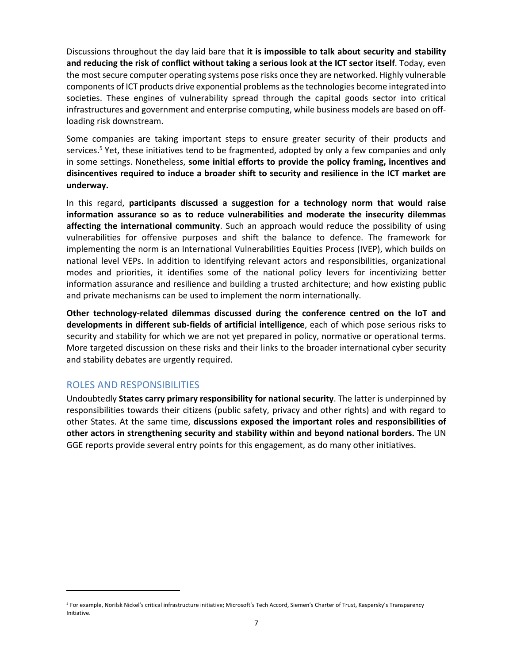Discussions throughout the day laid bare that **it is impossible to talk about security and stability and reducing the risk of conflict without taking a serious look at the ICT sector itself**. Today, even the most secure computer operating systems pose risks once they are networked. Highly vulnerable components of ICT products drive exponential problems as the technologies become integrated into societies. These engines of vulnerability spread through the capital goods sector into critical infrastructures and government and enterprise computing, while business models are based on off‐ loading risk downstream.

Some companies are taking important steps to ensure greater security of their products and services.<sup>5</sup> Yet, these initiatives tend to be fragmented, adopted by only a few companies and only in some settings. Nonetheless, **some initial efforts to provide the policy framing, incentives and disincentives required to induce a broader shift to security and resilience in the ICT market are underway.** 

In this regard, **participants discussed a suggestion for a technology norm that would raise information assurance so as to reduce vulnerabilities and moderate the insecurity dilemmas affecting the international community**. Such an approach would reduce the possibility of using vulnerabilities for offensive purposes and shift the balance to defence. The framework for implementing the norm is an International Vulnerabilities Equities Process (IVEP), which builds on national level VEPs. In addition to identifying relevant actors and responsibilities, organizational modes and priorities, it identifies some of the national policy levers for incentivizing better information assurance and resilience and building a trusted architecture; and how existing public and private mechanisms can be used to implement the norm internationally.

**Other technology‐related dilemmas discussed during the conference centred on the IoT and developments in different sub‐fields of artificial intelligence**, each of which pose serious risks to security and stability for which we are not yet prepared in policy, normative or operational terms. More targeted discussion on these risks and their links to the broader international cyber security and stability debates are urgently required.

#### ROLES AND RESPONSIBILITIES

Undoubtedly **States carry primary responsibility for national security**. The latter is underpinned by responsibilities towards their citizens (public safety, privacy and other rights) and with regard to other States. At the same time, **discussions exposed the important roles and responsibilities of other actors in strengthening security and stability within and beyond national borders.** The UN GGE reports provide several entry points for this engagement, as do many other initiatives.

<sup>5</sup> For example, Norilsk Nickel's critical infrastructure initiative; Microsoft's Tech Accord, Siemen's Charter of Trust, Kaspersky's Transparency Initiative.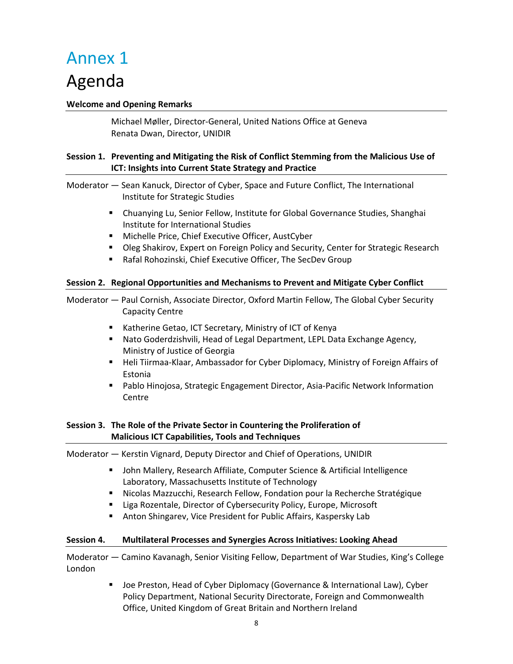# Annex 1

## Agenda

#### **Welcome and Opening Remarks**

Michael Møller, Director‐General, United Nations Office at Geneva Renata Dwan, Director, UNIDIR

#### **Session 1. Preventing and Mitigating the Risk of Conflict Stemming from the Malicious Use of ICT: Insights into Current State Strategy and Practice**

Moderator — Sean Kanuck, Director of Cyber, Space and Future Conflict, The International Institute for Strategic Studies

- Chuanying Lu, Senior Fellow, Institute for Global Governance Studies, Shanghai Institute for International Studies
- Michelle Price, Chief Executive Officer, AustCyber
- **Dieg Shakirov, Expert on Foreign Policy and Security, Center for Strategic Research**
- Rafal Rohozinski, Chief Executive Officer, The SecDev Group

#### **Session 2. Regional Opportunities and Mechanisms to Prevent and Mitigate Cyber Conflict**

Moderator — Paul Cornish, Associate Director, Oxford Martin Fellow, The Global Cyber Security Capacity Centre

- **Katherine Getao, ICT Secretary, Ministry of ICT of Kenya**
- Nato Goderdzishvili, Head of Legal Department, LEPL Data Exchange Agency, Ministry of Justice of Georgia
- Heli Tiirmaa-Klaar, Ambassador for Cyber Diplomacy, Ministry of Foreign Affairs of Estonia
- Pablo Hinojosa, Strategic Engagement Director, Asia-Pacific Network Information Centre

#### **Session 3. The Role of the Private Sector in Countering the Proliferation of Malicious ICT Capabilities, Tools and Techniques**

#### Moderator — Kerstin Vignard, Deputy Director and Chief of Operations, UNIDIR

- John Mallery, Research Affiliate, Computer Science & Artificial Intelligence Laboratory, Massachusetts Institute of Technology
- Nicolas Mazzucchi, Research Fellow, Fondation pour la Recherche Stratégique
- **E** Liga Rozentale, Director of Cybersecurity Policy, Europe, Microsoft
- Anton Shingarev, Vice President for Public Affairs, Kaspersky Lab

#### **Session 4. Multilateral Processes and Synergies Across Initiatives: Looking Ahead**

Moderator — Camino Kavanagh, Senior Visiting Fellow, Department of War Studies, King's College London

> **Joe Preston, Head of Cyber Diplomacy (Governance & International Law), Cyber** Policy Department, National Security Directorate, Foreign and Commonwealth Office, United Kingdom of Great Britain and Northern Ireland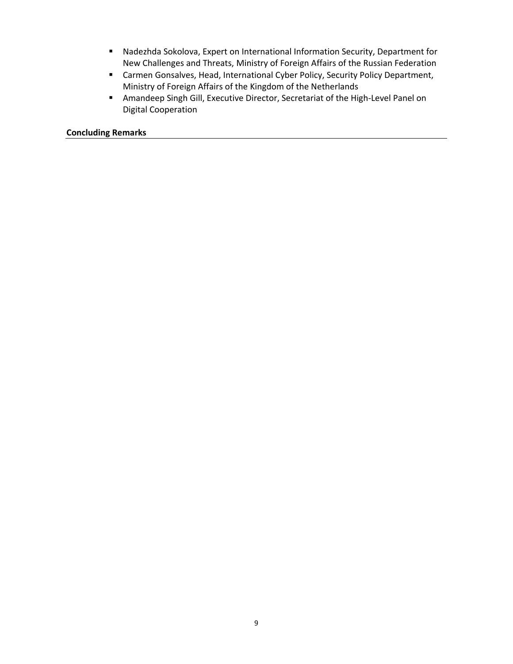- Nadezhda Sokolova, Expert on International Information Security, Department for New Challenges and Threats, Ministry of Foreign Affairs of the Russian Federation
- Carmen Gonsalves, Head, International Cyber Policy, Security Policy Department, Ministry of Foreign Affairs of the Kingdom of the Netherlands
- Amandeep Singh Gill, Executive Director, Secretariat of the High-Level Panel on Digital Cooperation

**Concluding Remarks**